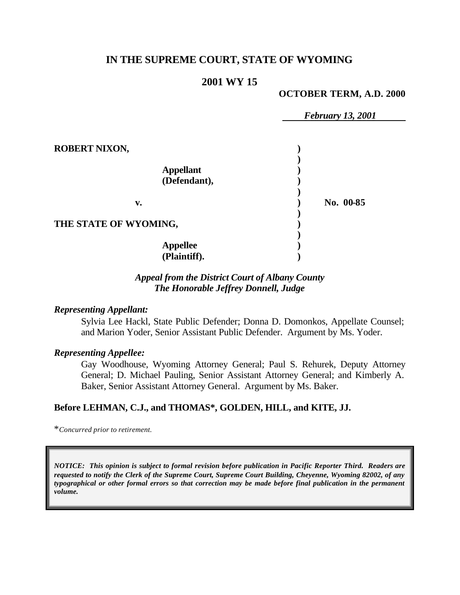# **IN THE SUPREME COURT, STATE OF WYOMING**

### **2001 WY 15**

**OCTOBER TERM, A.D. 2000**

*February 13, 2001*

| <b>ROBERT NIXON,</b>             |           |
|----------------------------------|-----------|
| <b>Appellant</b><br>(Defendant), |           |
| v.                               | No. 00-85 |
| THE STATE OF WYOMING,            |           |
| <b>Appellee</b><br>(Plaintiff).  |           |

#### *Appeal from the District Court of Albany County The Honorable Jeffrey Donnell, Judge*

#### *Representing Appellant:*

Sylvia Lee Hackl, State Public Defender; Donna D. Domonkos, Appellate Counsel; and Marion Yoder, Senior Assistant Public Defender. Argument by Ms. Yoder.

#### *Representing Appellee:*

Gay Woodhouse, Wyoming Attorney General; Paul S. Rehurek, Deputy Attorney General; D. Michael Pauling, Senior Assistant Attorney General; and Kimberly A. Baker, Senior Assistant Attorney General. Argument by Ms. Baker.

#### **Before LEHMAN, C.J., and THOMAS\*, GOLDEN, HILL, and KITE, JJ.**

\**Concurred prior to retirement.*

*NOTICE: This opinion is subject to formal revision before publication in Pacific Reporter Third. Readers are requested to notify the Clerk of the Supreme Court, Supreme Court Building, Cheyenne, Wyoming 82002, of any typographical or other formal errors so that correction may be made before final publication in the permanent volume.*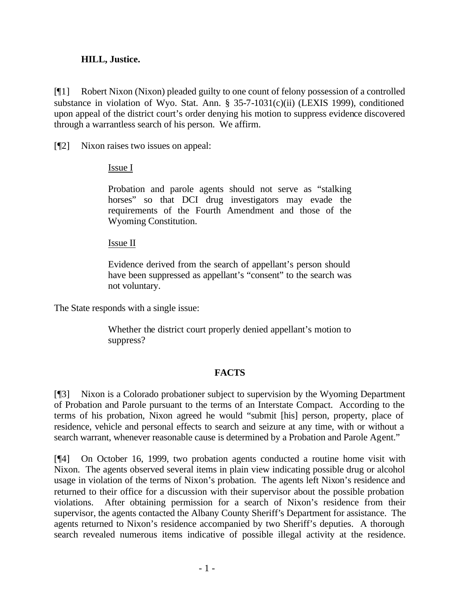## **HILL, Justice.**

[¶1] Robert Nixon (Nixon) pleaded guilty to one count of felony possession of a controlled substance in violation of Wyo. Stat. Ann. § 35-7-1031(c)(ii) (LEXIS 1999), conditioned upon appeal of the district court's order denying his motion to suppress evidence discovered through a warrantless search of his person. We affirm.

[¶2] Nixon raises two issues on appeal:

## Issue I

Probation and parole agents should not serve as "stalking horses" so that DCI drug investigators may evade the requirements of the Fourth Amendment and those of the Wyoming Constitution.

## Issue II

Evidence derived from the search of appellant's person should have been suppressed as appellant's "consent" to the search was not voluntary.

The State responds with a single issue:

Whether the district court properly denied appellant's motion to suppress?

## **FACTS**

[¶3] Nixon is a Colorado probationer subject to supervision by the Wyoming Department of Probation and Parole pursuant to the terms of an Interstate Compact. According to the terms of his probation, Nixon agreed he would "submit [his] person, property, place of residence, vehicle and personal effects to search and seizure at any time, with or without a search warrant, whenever reasonable cause is determined by a Probation and Parole Agent."

[¶4] On October 16, 1999, two probation agents conducted a routine home visit with Nixon. The agents observed several items in plain view indicating possible drug or alcohol usage in violation of the terms of Nixon's probation. The agents left Nixon's residence and returned to their office for a discussion with their supervisor about the possible probation violations. After obtaining permission for a search of Nixon's residence from their supervisor, the agents contacted the Albany County Sheriff's Department for assistance. The agents returned to Nixon's residence accompanied by two Sheriff's deputies. A thorough search revealed numerous items indicative of possible illegal activity at the residence.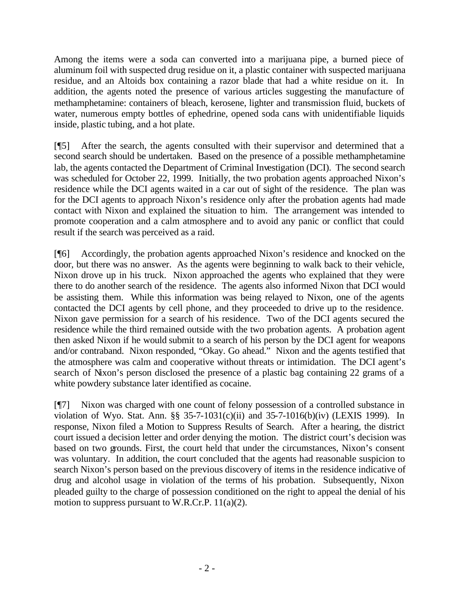Among the items were a soda can converted into a marijuana pipe, a burned piece of aluminum foil with suspected drug residue on it, a plastic container with suspected marijuana residue, and an Altoids box containing a razor blade that had a white residue on it. In addition, the agents noted the presence of various articles suggesting the manufacture of methamphetamine: containers of bleach, kerosene, lighter and transmission fluid, buckets of water, numerous empty bottles of ephedrine, opened soda cans with unidentifiable liquids inside, plastic tubing, and a hot plate.

[¶5] After the search, the agents consulted with their supervisor and determined that a second search should be undertaken. Based on the presence of a possible methamphetamine lab, the agents contacted the Department of Criminal Investigation (DCI). The second search was scheduled for October 22, 1999. Initially, the two probation agents approached Nixon's residence while the DCI agents waited in a car out of sight of the residence. The plan was for the DCI agents to approach Nixon's residence only after the probation agents had made contact with Nixon and explained the situation to him. The arrangement was intended to promote cooperation and a calm atmosphere and to avoid any panic or conflict that could result if the search was perceived as a raid.

[¶6] Accordingly, the probation agents approached Nixon's residence and knocked on the door, but there was no answer. As the agents were beginning to walk back to their vehicle, Nixon drove up in his truck. Nixon approached the agents who explained that they were there to do another search of the residence. The agents also informed Nixon that DCI would be assisting them. While this information was being relayed to Nixon, one of the agents contacted the DCI agents by cell phone, and they proceeded to drive up to the residence. Nixon gave permission for a search of his residence. Two of the DCI agents secured the residence while the third remained outside with the two probation agents. A probation agent then asked Nixon if he would submit to a search of his person by the DCI agent for weapons and/or contraband. Nixon responded, "Okay. Go ahead." Nixon and the agents testified that the atmosphere was calm and cooperative without threats or intimidation. The DCI agent's search of Nixon's person disclosed the presence of a plastic bag containing 22 grams of a white powdery substance later identified as cocaine.

[¶7] Nixon was charged with one count of felony possession of a controlled substance in violation of Wyo. Stat. Ann. §§ 35-7-1031(c)(ii) and 35-7-1016(b)(iv) (LEXIS 1999). In response, Nixon filed a Motion to Suppress Results of Search. After a hearing, the district court issued a decision letter and order denying the motion. The district court's decision was based on two grounds. First, the court held that under the circumstances, Nixon's consent was voluntary. In addition, the court concluded that the agents had reasonable suspicion to search Nixon's person based on the previous discovery of items in the residence indicative of drug and alcohol usage in violation of the terms of his probation. Subsequently, Nixon pleaded guilty to the charge of possession conditioned on the right to appeal the denial of his motion to suppress pursuant to W.R.Cr.P. 11(a)(2).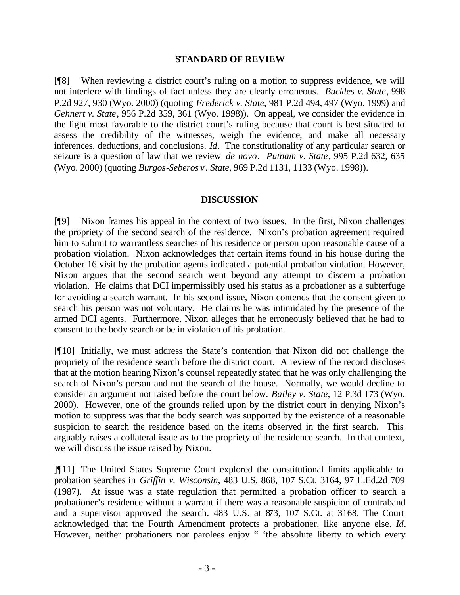#### **STANDARD OF REVIEW**

[¶8] When reviewing a district court's ruling on a motion to suppress evidence, we will not interfere with findings of fact unless they are clearly erroneous. *Buckles v. State*, 998 P.2d 927, 930 (Wyo. 2000) (quoting *Frederick v. State*, 981 P.2d 494, 497 (Wyo. 1999) and *Gehnert v. State*, 956 P.2d 359, 361 (Wyo. 1998)). On appeal, we consider the evidence in the light most favorable to the district court's ruling because that court is best situated to assess the credibility of the witnesses, weigh the evidence, and make all necessary inferences, deductions, and conclusions. *Id*. The constitutionality of any particular search or seizure is a question of law that we review *de novo*. *Putnam v. State*, 995 P.2d 632, 635 (Wyo. 2000) (quoting *Burgos-Seberos v. State*, 969 P.2d 1131, 1133 (Wyo. 1998)).

### **DISCUSSION**

[¶9] Nixon frames his appeal in the context of two issues. In the first, Nixon challenges the propriety of the second search of the residence. Nixon's probation agreement required him to submit to warrantless searches of his residence or person upon reasonable cause of a probation violation. Nixon acknowledges that certain items found in his house during the October 16 visit by the probation agents indicated a potential probation violation. However, Nixon argues that the second search went beyond any attempt to discern a probation violation. He claims that DCI impermissibly used his status as a probationer as a subterfuge for avoiding a search warrant. In his second issue, Nixon contends that the consent given to search his person was not voluntary. He claims he was intimidated by the presence of the armed DCI agents. Furthermore, Nixon alleges that he erroneously believed that he had to consent to the body search or be in violation of his probation.

[¶10] Initially, we must address the State's contention that Nixon did not challenge the propriety of the residence search before the district court. A review of the record discloses that at the motion hearing Nixon's counsel repeatedly stated that he was only challenging the search of Nixon's person and not the search of the house. Normally, we would decline to consider an argument not raised before the court below. *Bailey v. State*, 12 P.3d 173 (Wyo. 2000). However, one of the grounds relied upon by the district court in denying Nixon's motion to suppress was that the body search was supported by the existence of a reasonable suspicion to search the residence based on the items observed in the first search. This arguably raises a collateral issue as to the propriety of the residence search. In that context, we will discuss the issue raised by Nixon.

]¶11] The United States Supreme Court explored the constitutional limits applicable to probation searches in *Griffin v. Wisconsin*, 483 U.S. 868, 107 S.Ct. 3164, 97 L.Ed.2d 709 (1987). At issue was a state regulation that permitted a probation officer to search a probationer's residence without a warrant if there was a reasonable suspicion of contraband and a supervisor approved the search. 483 U.S. at 873, 107 S.Ct. at 3168. The Court acknowledged that the Fourth Amendment protects a probationer, like anyone else. *Id*. However, neither probationers nor parolees enjoy " 'the absolute liberty to which every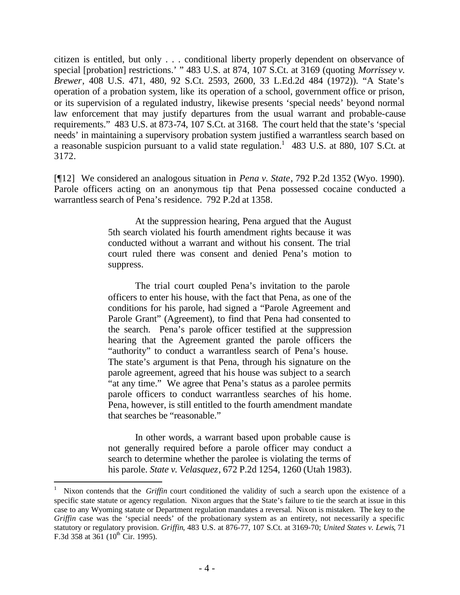citizen is entitled, but only . . . conditional liberty properly dependent on observance of special [probation] restrictions.' " 483 U.S. at 874, 107 S.Ct. at 3169 (quoting *Morrissey v. Brewer*, 408 U.S. 471, 480, 92 S.Ct. 2593, 2600, 33 L.Ed.2d 484 (1972)). "A State's operation of a probation system, like its operation of a school, government office or prison, or its supervision of a regulated industry, likewise presents 'special needs' beyond normal law enforcement that may justify departures from the usual warrant and probable-cause requirements." 483 U.S. at 873-74, 107 S.Ct. at 3168. The court held that the state's 'special needs' in maintaining a supervisory probation system justified a warrantless search based on a reasonable suspicion pursuant to a valid state regulation.<sup>1</sup> 483 U.S. at 880, 107 S.Ct. at 3172.

[¶12] We considered an analogous situation in *Pena v. State*, 792 P.2d 1352 (Wyo. 1990). Parole officers acting on an anonymous tip that Pena possessed cocaine conducted a warrantless search of Pena's residence. 792 P.2d at 1358.

> At the suppression hearing, Pena argued that the August 5th search violated his fourth amendment rights because it was conducted without a warrant and without his consent. The trial court ruled there was consent and denied Pena's motion to suppress.

> The trial court coupled Pena's invitation to the parole officers to enter his house, with the fact that Pena, as one of the conditions for his parole, had signed a "Parole Agreement and Parole Grant" (Agreement), to find that Pena had consented to the search. Pena's parole officer testified at the suppression hearing that the Agreement granted the parole officers the "authority" to conduct a warrantless search of Pena's house. The state's argument is that Pena, through his signature on the parole agreement, agreed that his house was subject to a search "at any time." We agree that Pena's status as a parolee permits parole officers to conduct warrantless searches of his home. Pena, however, is still entitled to the fourth amendment mandate that searches be "reasonable."

> In other words, a warrant based upon probable cause is not generally required before a parole officer may conduct a search to determine whether the parolee is violating the terms of his parole. *State v. Velasquez*, 672 P.2d 1254, 1260 (Utah 1983).

l

<sup>1</sup> Nixon contends that the *Griffin* court conditioned the validity of such a search upon the existence of a specific state statute or agency regulation. Nixon argues that the State's failure to tie the search at issue in this case to any Wyoming statute or Department regulation mandates a reversal. Nixon is mistaken. The key to the *Griffin* case was the 'special needs' of the probationary system as an entirety, not necessarily a specific statutory or regulatory provision. *Griffin*, 483 U.S. at 876-77, 107 S.Ct. at 3169-70; *United States v. Lewis*, 71 F.3d 358 at 361 ( $10^{th}$  Cir. 1995).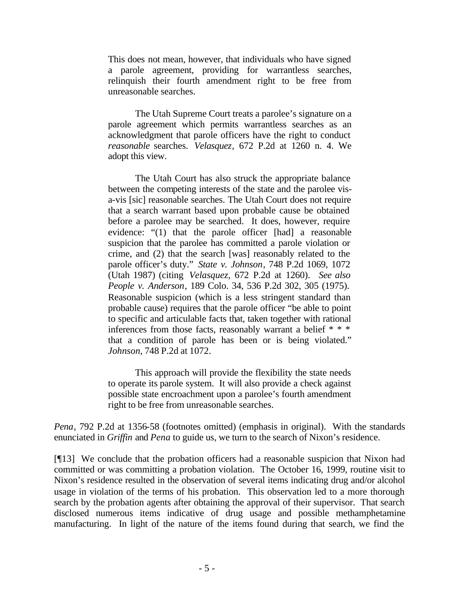This does not mean, however, that individuals who have signed a parole agreement, providing for warrantless searches, relinquish their fourth amendment right to be free from unreasonable searches.

The Utah Supreme Court treats a parolee's signature on a parole agreement which permits warrantless searches as an acknowledgment that parole officers have the right to conduct *reasonable* searches. *Velasquez*, 672 P.2d at 1260 n. 4. We adopt this view.

The Utah Court has also struck the appropriate balance between the competing interests of the state and the parolee visa-vis [sic] reasonable searches. The Utah Court does not require that a search warrant based upon probable cause be obtained before a parolee may be searched. It does, however, require evidence: "(1) that the parole officer [had] a reasonable suspicion that the parolee has committed a parole violation or crime, and (2) that the search [was] reasonably related to the parole officer's duty." *State v. Johnson*, 748 P.2d 1069, 1072 (Utah 1987) (citing *Velasquez*, 672 P.2d at 1260). *See also People v. Anderson*, 189 Colo. 34, 536 P.2d 302, 305 (1975). Reasonable suspicion (which is a less stringent standard than probable cause) requires that the parole officer "be able to point to specific and articulable facts that, taken together with rational inferences from those facts, reasonably warrant a belief \* \* \* that a condition of parole has been or is being violated." *Johnson*, 748 P.2d at 1072.

This approach will provide the flexibility the state needs to operate its parole system. It will also provide a check against possible state encroachment upon a parolee's fourth amendment right to be free from unreasonable searches.

*Pena*, 792 P.2d at 1356-58 (footnotes omitted) (emphasis in original). With the standards enunciated in *Griffin* and *Pena* to guide us, we turn to the search of Nixon's residence.

[¶13] We conclude that the probation officers had a reasonable suspicion that Nixon had committed or was committing a probation violation. The October 16, 1999, routine visit to Nixon's residence resulted in the observation of several items indicating drug and/or alcohol usage in violation of the terms of his probation. This observation led to a more thorough search by the probation agents after obtaining the approval of their supervisor. That search disclosed numerous items indicative of drug usage and possible methamphetamine manufacturing. In light of the nature of the items found during that search, we find the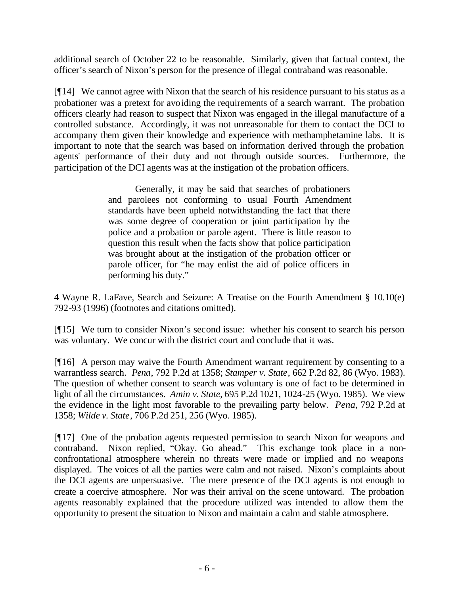additional search of October 22 to be reasonable. Similarly, given that factual context, the officer's search of Nixon's person for the presence of illegal contraband was reasonable.

[¶14] We cannot agree with Nixon that the search of his residence pursuant to his status as a probationer was a pretext for avoiding the requirements of a search warrant. The probation officers clearly had reason to suspect that Nixon was engaged in the illegal manufacture of a controlled substance. Accordingly, it was not unreasonable for them to contact the DCI to accompany them given their knowledge and experience with methamphetamine labs. It is important to note that the search was based on information derived through the probation agents' performance of their duty and not through outside sources. Furthermore, the participation of the DCI agents was at the instigation of the probation officers.

> Generally, it may be said that searches of probationers and parolees not conforming to usual Fourth Amendment standards have been upheld notwithstanding the fact that there was some degree of cooperation or joint participation by the police and a probation or parole agent. There is little reason to question this result when the facts show that police participation was brought about at the instigation of the probation officer or parole officer, for "he may enlist the aid of police officers in performing his duty."

4 Wayne R. LaFave, Search and Seizure: A Treatise on the Fourth Amendment § 10.10(e) 792-93 (1996) (footnotes and citations omitted).

[¶15] We turn to consider Nixon's second issue: whether his consent to search his person was voluntary. We concur with the district court and conclude that it was.

[¶16] A person may waive the Fourth Amendment warrant requirement by consenting to a warrantless search. *Pena*, 792 P.2d at 1358; *Stamper v. State*, 662 P.2d 82, 86 (Wyo. 1983). The question of whether consent to search was voluntary is one of fact to be determined in light of all the circumstances. *Amin v. State*, 695 P.2d 1021, 1024-25 (Wyo. 1985). We view the evidence in the light most favorable to the prevailing party below. *Pena*, 792 P.2d at 1358; *Wilde v. State*, 706 P.2d 251, 256 (Wyo. 1985).

[¶17] One of the probation agents requested permission to search Nixon for weapons and contraband. Nixon replied, "Okay. Go ahead." This exchange took place in a nonconfrontational atmosphere wherein no threats were made or implied and no weapons displayed. The voices of all the parties were calm and not raised. Nixon's complaints about the DCI agents are unpersuasive. The mere presence of the DCI agents is not enough to create a coercive atmosphere. Nor was their arrival on the scene untoward. The probation agents reasonably explained that the procedure utilized was intended to allow them the opportunity to present the situation to Nixon and maintain a calm and stable atmosphere.